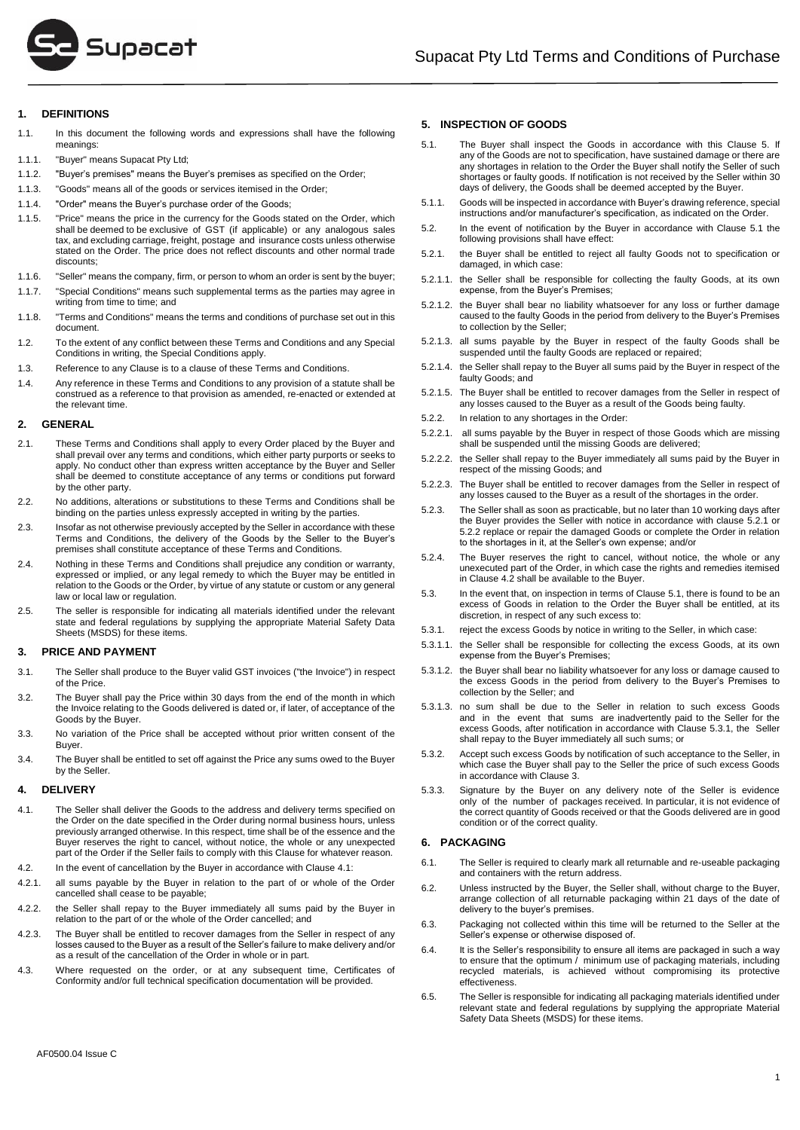

## **1. DEFINITIONS**

- 1.1. In this document the following words and expressions shall have the following meanings:
- 1.1.1. "Buyer" means Supacat Pty Ltd;
- 1.1.2. "Buyer's premises" means the Buyer's premises as specified on the Order;
- 1.1.3. "Goods" means all of the goods or services itemised in the Order;
- 1.1.4. "Order" means the Buyer's purchase order of the Goods;
- 1.1.5. "Price" means the price in the currency for the Goods stated on the Order, which shall be deemed to be exclusive of GST (if applicable) or any analogous sales tax, and excluding carriage, freight, postage and insurance costs unless otherwise stated on the Order. The price does not reflect discounts and other normal trade discounts;
- 1.1.6. "Seller" means the company, firm, or person to whom an order is sent by the buyer;
- 1.1.7. "Special Conditions" means such supplemental terms as the parties may agree in writing from time to time; and
- 1.1.8. "Terms and Conditions" means the terms and conditions of purchase set out in this document.
- 1.2. To the extent of any conflict between these Terms and Conditions and any Special Conditions in writing, the Special Conditions apply.
- 1.3. Reference to any Clause is to a clause of these Terms and Conditions.
- 1.4. Any reference in these Terms and Conditions to any provision of a statute shall be construed as a reference to that provision as amended, re-enacted or extended at the relevant time.

## **2. GENERAL**

- 2.1. These Terms and Conditions shall apply to every Order placed by the Buyer and shall prevail over any terms and conditions, which either party purports or seeks to apply. No conduct other than express written acceptance by the Buyer and Seller shall be deemed to constitute acceptance of any terms or conditions put forward by the other party.
- 2.2. No additions, alterations or substitutions to these Terms and Conditions shall be binding on the parties unless expressly accepted in writing by the parties.
- 2.3. Insofar as not otherwise previously accepted by the Seller in accordance with these Terms and Conditions, the delivery of the Goods by the Seller to the Buyer's premises shall constitute acceptance of these Terms and Conditions.
- 2.4. Nothing in these Terms and Conditions shall prejudice any condition or warranty, expressed or implied, or any legal remedy to which the Buyer may be entitled in relation to the Goods or the Order, by virtue of any statute or custom or any general law or local law or regulation.
- 2.5. The seller is responsible for indicating all materials identified under the relevant state and federal regulations by supplying the appropriate Material Safety Data Sheets (MSDS) for these items.

## <span id="page-0-6"></span>**3. PRICE AND PAYMENT**

- 3.1. The Seller shall produce to the Buyer valid GST invoices ("the Invoice") in respect of the Price.
- 3.2. The Buyer shall pay the Price within 30 days from the end of the month in which the Invoice relating to the Goods delivered is dated or, if later, of acceptance of the Goods by the Buyer.
- 3.3. No variation of the Price shall be accepted without prior written consent of the Buyer.
- 3.4. The Buyer shall be entitled to set off against the Price any sums owed to the Buyer by the Seller.

### **4. DELIVERY**

- <span id="page-0-0"></span>4.1. The Seller shall deliver the Goods to the address and delivery terms specified on the Order on the date specified in the Order during normal business hours, unless previously arranged otherwise. In this respect, time shall be of the essence and the Buyer reserves the right to cancel, without notice, the whole or any unexpected part of the Order if the Seller fails to comply with this Clause for whatever reason.
- <span id="page-0-4"></span>4.2. In the event of cancellation by the Buyer in accordance with Claus[e 4.1:](#page-0-0)
- 4.2.1. all sums payable by the Buyer in relation to the part of or whole of the Order cancelled shall cease to be payable;
- 4.2.2. the Seller shall repay to the Buyer immediately all sums paid by the Buyer in relation to the part of or the whole of the Order cancelled; and
- 4.2.3. The Buyer shall be entitled to recover damages from the Seller in respect of any losses caused to the Buyer as a result of the Seller's failure to make delivery and/or as a result of the cancellation of the Order in whole or in part.
- 4.3. Where requested on the order, or at any subsequent time, Certificates of Conformity and/or full technical specification documentation will be provided.

# <span id="page-0-7"></span>**5. INSPECTION OF GOODS**

- <span id="page-0-1"></span>5.1. The Buyer shall inspect the Goods in accordance with this Clause 5. If any of the Goods are not to specification, have sustained damage or there are any shortages in relation to the Order the Buyer shall notify the Seller of such shortages or faulty goods. If notification is not received by the Seller within 30 days of delivery, the Goods shall be deemed accepted by the Buyer.
- 5.1.1. Goods will be inspected in accordance with Buyer's drawing reference, special instructions and/or manufacturer's specification, as indicated on the Order.
- 5.2. In the event of notification by the Buyer in accordance with Clause [5.1](#page-0-1) the following provisions shall have effect:
- <span id="page-0-2"></span>5.2.1. the Buyer shall be entitled to reject all faulty Goods not to specification or damaged, in which case:
- 5.2.1.1. the Seller shall be responsible for collecting the faulty Goods, at its own expense, from the Buyer's Premises;
- 5.2.1.2. the Buyer shall bear no liability whatsoever for any loss or further damage caused to the faulty Goods in the period from delivery to the Buyer's Premises to collection by the Seller;
- 5.2.1.3. all sums payable by the Buyer in respect of the faulty Goods shall be suspended until the faulty Goods are replaced or repaired;
- 5.2.1.4. the Seller shall repay to the Buyer all sums paid by the Buyer in respect of the faulty Goods; and
- 5.2.1.5. The Buyer shall be entitled to recover damages from the Seller in respect of any losses caused to the Buyer as a result of the Goods being faulty.
- <span id="page-0-3"></span>5.2.2. In relation to any shortages in the Order:
- 5.2.2.1. all sums payable by the Buyer in respect of those Goods which are missing shall be suspended until the missing Goods are delivered;
- 5.2.2.2. the Seller shall repay to the Buyer immediately all sums paid by the Buyer in respect of the missing Goods; and
- 5.2.2.3. The Buyer shall be entitled to recover damages from the Seller in respect of any losses caused to the Buyer as a result of the shortages in the order.
- 5.2.3. The Seller shall as soon as practicable, but no later than 10 working days after the Buyer provides the Seller with notice in accordance with clause [5.2.1](#page-0-2) or [5.2.2](#page-0-3) replace or repair the damaged Goods or complete the Order in relation to the shortages in it, at the Seller's own expense; and/or
- 5.2.4. The Buyer reserves the right to cancel, without notice, the whole or any unexecuted part of the Order, in which case the rights and remedies itemised in Claus[e 4.2](#page-0-4) shall be available to the Buyer.
- 5.3. In the event that, on inspection in terms of Claus[e 5.1,](#page-0-1) there is found to be an excess of Goods in relation to the Order the Buyer shall be entitled, at its discretion, in respect of any such excess to:
- <span id="page-0-5"></span>5.3.1. reject the excess Goods by notice in writing to the Seller, in which case:
- 5.3.1.1. the Seller shall be responsible for collecting the excess Goods, at its own expense from the Buyer's Premises;
- 5.3.1.2. the Buyer shall bear no liability whatsoever for any loss or damage caused to the excess Goods in the period from delivery to the Buyer's Premises to collection by the Seller; and
- 5.3.1.3. no sum shall be due to the Seller in relation to such excess Goods and in the event that sums are inadvertently paid to the Seller for the excess Goods, after notification in accordance with Claus[e 5.3.1,](#page-0-5) the Seller shall repay to the Buyer immediately all such sums; or
- 5.3.2. Accept such excess Goods by notification of such acceptance to the Seller, in which case the Buyer shall pay to the Seller the price of such excess Goods in accordance with Clause [3.](#page-0-6)
- 5.3.3. Signature by the Buyer on any delivery note of the Seller is evidence only of the number of packages received. In particular, it is not evidence of the correct quantity of Goods received or that the Goods delivered are in good condition or of the correct quality.

### **6. PACKAGING**

- 6.1. The Seller is required to clearly mark all returnable and re-useable packaging and containers with the return address.
- 6.2. Unless instructed by the Buyer, the Seller shall, without charge to the Buyer, arrange collection of all returnable packaging within 21 days of the date of delivery to the buyer's premises.
- 6.3. Packaging not collected within this time will be returned to the Seller at the Seller's expense or otherwise disposed of.
- 6.4. It is the Seller's responsibility to ensure all items are packaged in such a way to ensure that the optimum / minimum use of packaging materials, including recycled materials, is achieved without compromising its protective effectiveness.
- 6.5. The Seller is responsible for indicating all packaging materials identified under relevant state and federal regulations by supplying the appropriate Material Safety Data Sheets (MSDS) for these items.